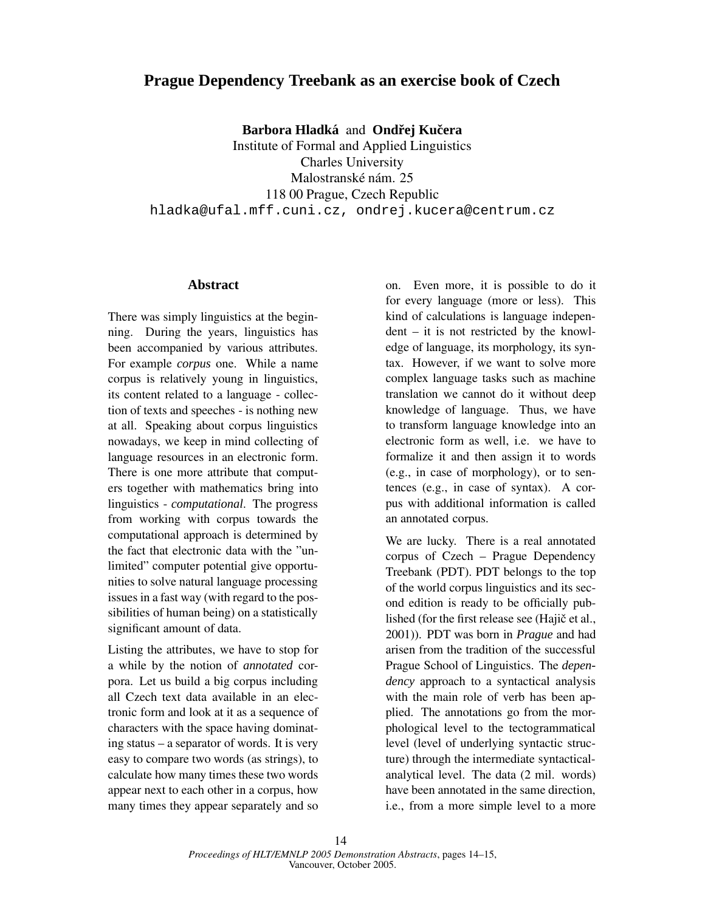## **Prague Dependency Treebank as an exercise book of Czech**

**Barbora Hladká** and **Ondřej Kučera** 

Institute of Formal and Applied Linguistics Charles University Malostranské nám. 25 118 00 Prague, Czech Republic hladka@ufal.mff.cuni.cz, ondrej.kucera@centrum.cz

## **Abstract**

There was simply linguistics at the beginning. During the years, linguistics has been accompanied by various attributes. For example *corpus* one. While a name corpus is relatively young in linguistics, its content related to a language - collection of texts and speeches - is nothing new at all. Speaking about corpus linguistics nowadays, we keep in mind collecting of language resources in an electronic form. There is one more attribute that computers together with mathematics bring into linguistics - *computational*. The progress from working with corpus towards the computational approach is determined by the fact that electronic data with the "unlimited" computer potential give opportunities to solve natural language processing issues in a fast way (with regard to the possibilities of human being) on a statistically significant amount of data.

Listing the attributes, we have to stop for a while by the notion of *annotated* corpora. Let us build a big corpus including all Czech text data available in an electronic form and look at it as a sequence of characters with the space having dominating status – a separator of words. It is very easy to compare two words (as strings), to calculate how many times these two words appear next to each other in a corpus, how many times they appear separately and so

on. Even more, it is possible to do it for every language (more or less). This kind of calculations is language independent – it is not restricted by the knowledge of language, its morphology, its syntax. However, if we want to solve more complex language tasks such as machine translation we cannot do it without deep knowledge of language. Thus, we have to transform language knowledge into an electronic form as well, i.e. we have to formalize it and then assign it to words (e.g., in case of morphology), or to sentences (e.g., in case of syntax). A corpus with additional information is called an annotated corpus.

We are lucky. There is a real annotated corpus of Czech – Prague Dependency Treebank (PDT). PDT belongs to the top of the world corpus linguistics and its second edition is ready to be officially published (for the first release see (Hajič et al., 2001)). PDT was born in *Prague* and had arisen from the tradition of the successful Prague School of Linguistics. The *dependency* approach to a syntactical analysis with the main role of verb has been applied. The annotations go from the morphological level to the tectogrammatical level (level of underlying syntactic structure) through the intermediate syntacticalanalytical level. The data (2 mil. words) have been annotated in the same direction, i.e., from a more simple level to a more